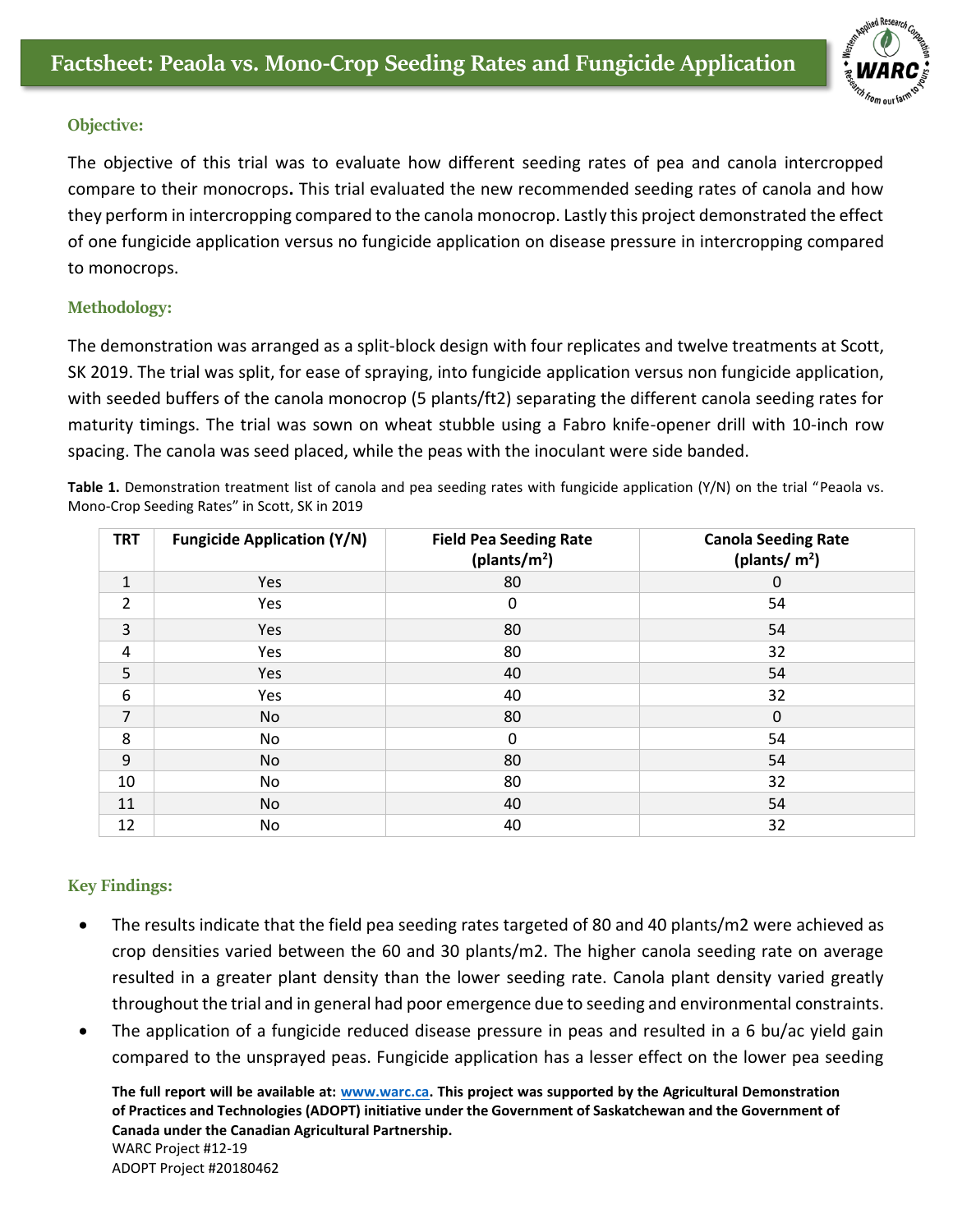

## **Objective:**

The objective of this trial was to evaluate how different seeding rates of pea and canola intercropped compare to their monocrops**.** This trial evaluated the new recommended seeding rates of canola and how they perform in intercropping compared to the canola monocrop. Lastly this project demonstrated the effect of one fungicide application versus no fungicide application on disease pressure in intercropping compared to monocrops.

## **Methodology:**

The demonstration was arranged as a split-block design with four replicates and twelve treatments at Scott, SK 2019. The trial was split, for ease of spraying, into fungicide application versus non fungicide application, with seeded buffers of the canola monocrop (5 plants/ft2) separating the different canola seeding rates for maturity timings. The trial was sown on wheat stubble using a Fabro knife-opener drill with 10-inch row spacing. The canola was seed placed, while the peas with the inoculant were side banded.

**Table 1.** Demonstration treatment list of canola and pea seeding rates with fungicide application (Y/N) on the trial "Peaola vs. Mono-Crop Seeding Rates" in Scott, SK in 2019

| <b>TRT</b>     | <b>Fungicide Application (Y/N)</b> | <b>Field Pea Seeding Rate</b><br>(plants/ $m2$ ) | <b>Canola Seeding Rate</b><br>(plants/ $m2$ ) |
|----------------|------------------------------------|--------------------------------------------------|-----------------------------------------------|
| $\mathbf{1}$   | Yes                                | 80                                               | 0                                             |
| $\overline{2}$ | Yes                                | 0                                                | 54                                            |
| $\overline{3}$ | Yes                                | 80                                               | 54                                            |
| 4              | Yes                                | 80                                               | 32                                            |
| 5              | Yes                                | 40                                               | 54                                            |
| 6              | Yes                                | 40                                               | 32                                            |
| $\overline{7}$ | <b>No</b>                          | 80                                               | $\mathbf 0$                                   |
| 8              | No                                 | 0                                                | 54                                            |
| 9              | <b>No</b>                          | 80                                               | 54                                            |
| 10             | No                                 | 80                                               | 32                                            |
| 11             | <b>No</b>                          | 40                                               | 54                                            |
| 12             | No                                 | 40                                               | 32                                            |

## **Key Findings:**

- The results indicate that the field pea seeding rates targeted of 80 and 40 plants/m2 were achieved as crop densities varied between the 60 and 30 plants/m2. The higher canola seeding rate on average resulted in a greater plant density than the lower seeding rate. Canola plant density varied greatly throughout the trial and in general had poor emergence due to seeding and environmental constraints.
- The application of a fungicide reduced disease pressure in peas and resulted in a 6 bu/ac yield gain compared to the unsprayed peas. Fungicide application has a lesser effect on the lower pea seeding

**The full report will be available at: [www.warc.ca.](http://www.warc.ca/) This project was supported by the Agricultural Demonstration of Practices and Technologies (ADOPT) initiative under the Government of Saskatchewan and the Government of Canada under the Canadian Agricultural Partnership.**  WARC Project #12-19 ADOPT Project #20180462